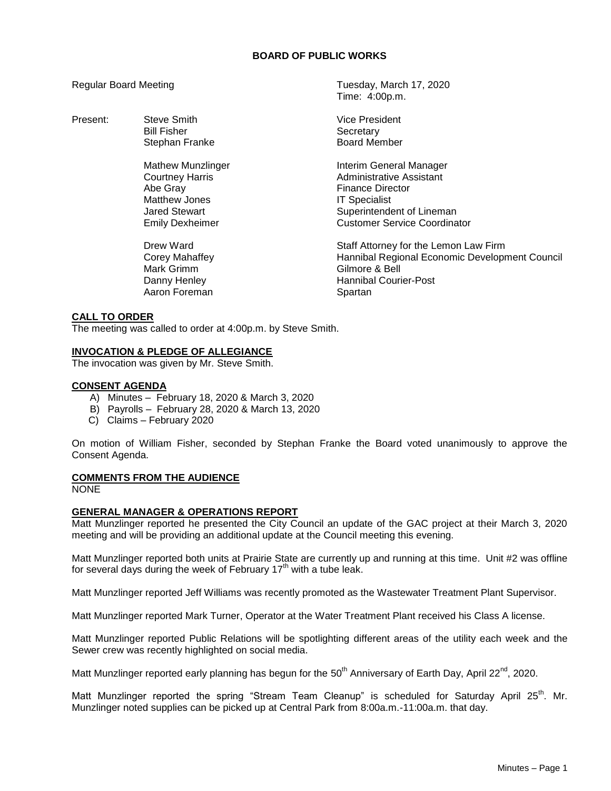# **BOARD OF PUBLIC WORKS**

| <b>Regular Board Meeting</b> |                                                                                                                            | Tuesday, March 17, 2020<br>Time: 4:00p.m.                                                                                                                                  |
|------------------------------|----------------------------------------------------------------------------------------------------------------------------|----------------------------------------------------------------------------------------------------------------------------------------------------------------------------|
| Present:                     | Steve Smith<br><b>Bill Fisher</b><br>Stephan Franke                                                                        | Vice President<br>Secretary<br><b>Board Member</b>                                                                                                                         |
|                              | Mathew Munzlinger<br><b>Courtney Harris</b><br>Abe Gray<br>Matthew Jones<br><b>Jared Stewart</b><br><b>Emily Dexheimer</b> | Interim General Manager<br>Administrative Assistant<br><b>Finance Director</b><br><b>IT Specialist</b><br>Superintendent of Lineman<br><b>Customer Service Coordinator</b> |
|                              | Drew Ward<br>Corey Mahaffey<br>Mark Grimm<br>Danny Henley<br>Aaron Foreman                                                 | Staff Attorney for the Lemon Law Firm<br>Hannibal Regional Economic Development Council<br>Gilmore & Bell<br><b>Hannibal Courier-Post</b><br>Spartan                       |
| A  TA ABBER                  |                                                                                                                            |                                                                                                                                                                            |

#### **CALL TO ORDER**

The meeting was called to order at 4:00p.m. by Steve Smith.

## **INVOCATION & PLEDGE OF ALLEGIANCE**

The invocation was given by Mr. Steve Smith.

#### **CONSENT AGENDA**

- A) Minutes February 18, 2020 & March 3, 2020
- B) Payrolls February 28, 2020 & March 13, 2020
- C) Claims February 2020

On motion of William Fisher, seconded by Stephan Franke the Board voted unanimously to approve the Consent Agenda.

## **COMMENTS FROM THE AUDIENCE**

**NONE** 

#### **GENERAL MANAGER & OPERATIONS REPORT**

Matt Munzlinger reported he presented the City Council an update of the GAC project at their March 3, 2020 meeting and will be providing an additional update at the Council meeting this evening.

Matt Munzlinger reported both units at Prairie State are currently up and running at this time. Unit #2 was offline for several days during the week of February  $17<sup>th</sup>$  with a tube leak.

Matt Munzlinger reported Jeff Williams was recently promoted as the Wastewater Treatment Plant Supervisor.

Matt Munzlinger reported Mark Turner, Operator at the Water Treatment Plant received his Class A license.

Matt Munzlinger reported Public Relations will be spotlighting different areas of the utility each week and the Sewer crew was recently highlighted on social media.

Matt Munzlinger reported early planning has begun for the 50<sup>th</sup> Anniversary of Earth Day, April 22<sup>nd</sup>, 2020.

Matt Munzlinger reported the spring "Stream Team Cleanup" is scheduled for Saturday April 25<sup>th</sup>. Mr. Munzlinger noted supplies can be picked up at Central Park from 8:00a.m.-11:00a.m. that day.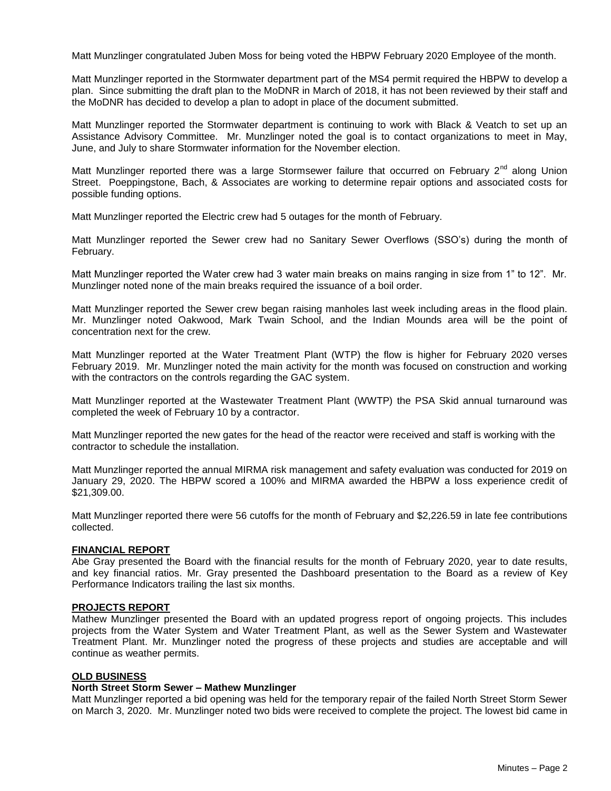Matt Munzlinger congratulated Juben Moss for being voted the HBPW February 2020 Employee of the month.

Matt Munzlinger reported in the Stormwater department part of the MS4 permit required the HBPW to develop a plan. Since submitting the draft plan to the MoDNR in March of 2018, it has not been reviewed by their staff and the MoDNR has decided to develop a plan to adopt in place of the document submitted.

Matt Munzlinger reported the Stormwater department is continuing to work with Black & Veatch to set up an Assistance Advisory Committee. Mr. Munzlinger noted the goal is to contact organizations to meet in May, June, and July to share Stormwater information for the November election.

Matt Munzlinger reported there was a large Stormsewer failure that occurred on February  $2^{nd}$  along Union Street. Poeppingstone, Bach, & Associates are working to determine repair options and associated costs for possible funding options.

Matt Munzlinger reported the Electric crew had 5 outages for the month of February.

Matt Munzlinger reported the Sewer crew had no Sanitary Sewer Overflows (SSO's) during the month of February.

Matt Munzlinger reported the Water crew had 3 water main breaks on mains ranging in size from 1" to 12". Mr. Munzlinger noted none of the main breaks required the issuance of a boil order.

Matt Munzlinger reported the Sewer crew began raising manholes last week including areas in the flood plain. Mr. Munzlinger noted Oakwood, Mark Twain School, and the Indian Mounds area will be the point of concentration next for the crew.

Matt Munzlinger reported at the Water Treatment Plant (WTP) the flow is higher for February 2020 verses February 2019. Mr. Munzlinger noted the main activity for the month was focused on construction and working with the contractors on the controls regarding the GAC system.

Matt Munzlinger reported at the Wastewater Treatment Plant (WWTP) the PSA Skid annual turnaround was completed the week of February 10 by a contractor.

Matt Munzlinger reported the new gates for the head of the reactor were received and staff is working with the contractor to schedule the installation.

Matt Munzlinger reported the annual MIRMA risk management and safety evaluation was conducted for 2019 on January 29, 2020. The HBPW scored a 100% and MIRMA awarded the HBPW a loss experience credit of \$21,309.00.

Matt Munzlinger reported there were 56 cutoffs for the month of February and \$2,226.59 in late fee contributions collected.

# **FINANCIAL REPORT**

Abe Gray presented the Board with the financial results for the month of February 2020, year to date results, and key financial ratios. Mr. Gray presented the Dashboard presentation to the Board as a review of Key Performance Indicators trailing the last six months.

#### **PROJECTS REPORT**

Mathew Munzlinger presented the Board with an updated progress report of ongoing projects. This includes projects from the Water System and Water Treatment Plant, as well as the Sewer System and Wastewater Treatment Plant. Mr. Munzlinger noted the progress of these projects and studies are acceptable and will continue as weather permits.

# **OLD BUSINESS**

#### **North Street Storm Sewer – Mathew Munzlinger**

Matt Munzlinger reported a bid opening was held for the temporary repair of the failed North Street Storm Sewer on March 3, 2020. Mr. Munzlinger noted two bids were received to complete the project. The lowest bid came in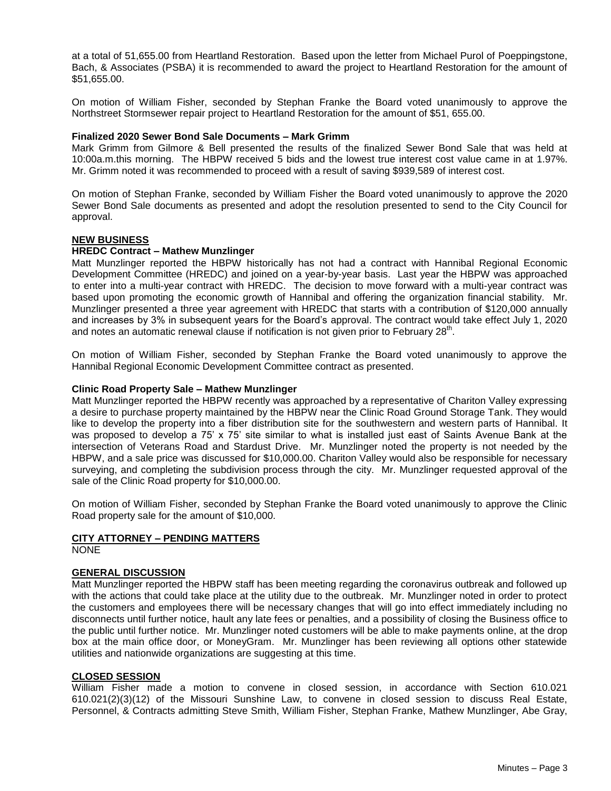at a total of 51,655.00 from Heartland Restoration. Based upon the letter from Michael Purol of Poeppingstone, Bach, & Associates (PSBA) it is recommended to award the project to Heartland Restoration for the amount of \$51,655.00.

On motion of William Fisher, seconded by Stephan Franke the Board voted unanimously to approve the Northstreet Stormsewer repair project to Heartland Restoration for the amount of \$51, 655.00.

#### **Finalized 2020 Sewer Bond Sale Documents – Mark Grimm**

Mark Grimm from Gilmore & Bell presented the results of the finalized Sewer Bond Sale that was held at 10:00a.m.this morning. The HBPW received 5 bids and the lowest true interest cost value came in at 1.97%. Mr. Grimm noted it was recommended to proceed with a result of saving \$939,589 of interest cost.

On motion of Stephan Franke, seconded by William Fisher the Board voted unanimously to approve the 2020 Sewer Bond Sale documents as presented and adopt the resolution presented to send to the City Council for approval.

## **NEW BUSINESS**

## **HREDC Contract – Mathew Munzlinger**

Matt Munzlinger reported the HBPW historically has not had a contract with Hannibal Regional Economic Development Committee (HREDC) and joined on a year-by-year basis. Last year the HBPW was approached to enter into a multi-year contract with HREDC. The decision to move forward with a multi-year contract was based upon promoting the economic growth of Hannibal and offering the organization financial stability. Mr. Munzlinger presented a three year agreement with HREDC that starts with a contribution of \$120,000 annually and increases by 3% in subsequent years for the Board's approval. The contract would take effect July 1, 2020 and notes an automatic renewal clause if notification is not given prior to February 28<sup>th</sup>.

On motion of William Fisher, seconded by Stephan Franke the Board voted unanimously to approve the Hannibal Regional Economic Development Committee contract as presented.

## **Clinic Road Property Sale – Mathew Munzlinger**

Matt Munzlinger reported the HBPW recently was approached by a representative of Chariton Valley expressing a desire to purchase property maintained by the HBPW near the Clinic Road Ground Storage Tank. They would like to develop the property into a fiber distribution site for the southwestern and western parts of Hannibal. It was proposed to develop a 75' x 75' site similar to what is installed just east of Saints Avenue Bank at the intersection of Veterans Road and Stardust Drive. Mr. Munzlinger noted the property is not needed by the HBPW, and a sale price was discussed for \$10,000.00. Chariton Valley would also be responsible for necessary surveying, and completing the subdivision process through the city. Mr. Munzlinger requested approval of the sale of the Clinic Road property for \$10,000.00.

On motion of William Fisher, seconded by Stephan Franke the Board voted unanimously to approve the Clinic Road property sale for the amount of \$10,000.

# **CITY ATTORNEY – PENDING MATTERS**

NONE

# **GENERAL DISCUSSION**

Matt Munzlinger reported the HBPW staff has been meeting regarding the coronavirus outbreak and followed up with the actions that could take place at the utility due to the outbreak. Mr. Munzlinger noted in order to protect the customers and employees there will be necessary changes that will go into effect immediately including no disconnects until further notice, hault any late fees or penalties, and a possibility of closing the Business office to the public until further notice. Mr. Munzlinger noted customers will be able to make payments online, at the drop box at the main office door, or MoneyGram. Mr. Munzlinger has been reviewing all options other statewide utilities and nationwide organizations are suggesting at this time.

#### **CLOSED SESSION**

William Fisher made a motion to convene in closed session, in accordance with Section 610.021 610.021(2)(3)(12) of the Missouri Sunshine Law, to convene in closed session to discuss Real Estate, Personnel, & Contracts admitting Steve Smith, William Fisher, Stephan Franke, Mathew Munzlinger, Abe Gray,